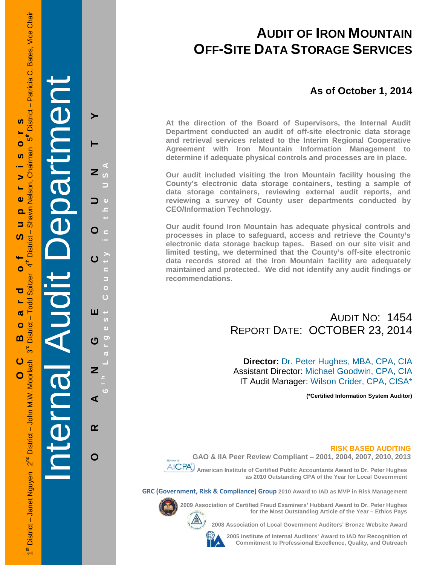# **AUDIT OF IRON MOUNTAIN OFF-SITE DATA STORAGE SERVICES**

# **As of October 1, 2014**

**At the direction of the Board of Supervisors, the Internal Audit Department conducted an audit of off-site electronic data storage and retrieval services related to the Interim Regional Cooperative Agreement with Iron Mountain Information Management to determine if adequate physical controls and processes are in place.** 

**Our audit included visiting the Iron Mountain facility housing the County's electronic data storage containers, testing a sample of data storage containers, reviewing external audit reports, and reviewing a survey of County user departments conducted by CEO/Information Technology.** 

**Our audit found Iron Mountain has adequate physical controls and processes in place to safeguard, access and retrieve the County's electronic data storage backup tapes. Based on our site visit and limited testing, we determined that the County's off-site electronic data records stored at the Iron Mountain facility are adequately maintained and protected. We did not identify any audit findings or recommendations.** 

# AUDIT NO: 1454 REPORT DATE: OCTOBER 23, 2014

**Director:** Dr. Peter Hughes, MBA, CPA, CIA Assistant Director: Michael Goodwin, CPA, CIA IT Audit Manager: Wilson Crider, CPA, CISA\*

**(\*Certified Information System Auditor)** 

## **RISK BASED AUDITING**



 **American Institute of Certified Public Accountants Award to Dr. Peter Hughes as 2010 Outstanding CPA of the Year for Local Government GAO & IIA Peer Review Compliant – 2001, 2004, 2007, 2010, 2013** 

**GRC (Government, Risk & Compliance) Group 2010 Award to IAD as MVP in Risk Management** 

**2009 Association of Certified Fraud Examiners' Hubbard Award to Dr. Peter Hughes for the Most Outstanding Article of the Year – Ethics Pays** 

**2008 Association of Local Government Auditors' Bronze Website Award** 

**2005 Institute of Internal Auditors' Award to IAD for Recognition of Commitment to Professional Excellence, Quality, and Outreach**

**S** 

 $\bullet$ 

 $\overline{a}$ 

 $\geq$ 

 $\bullet$ 

 $\Omega$  $\overline{\phantom{a}}$ 

ഗ

 $\circ$ 

ರ

 $\boldsymbol{\sigma}$ 

 $\bullet$ m Internal Audit Department 

**ORANGE COUNTY 6 t h Largest County in the USA** 

 $\overline{O}$ 

 $\epsilon$ 

U)

<u>ာ</u>  $\boldsymbol{\sigma}$ 

 $\overline{\mathbf{c}}$ 

ίō ⋖

17,303

 $\blacktriangleright$ 

 $\overline{z}$ 

O  $\subseteq$ 

 $\mathbf C$ 

ш

 $\overline{\mathbf{z}}$ 

 $\alpha$ 

 $\mathbf O$ 

 $\overline{O}$ 

 $\Phi$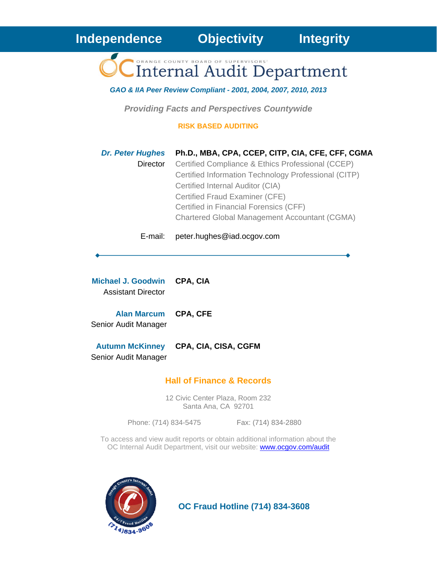**Internal Audit Department** 

*GAO & IIA Peer Review Compliant - 2001, 2004, 2007, 2010, 2013* 

*Providing Facts and Perspectives Countywide* 

**RISK BASED AUDITING** 

| <b>Dr. Peter Hughes</b> | Ph.D., MBA, CPA, CCEP, CITP, CIA, CFE, CFF, CGMA     |
|-------------------------|------------------------------------------------------|
| Director                | Certified Compliance & Ethics Professional (CCEP)    |
|                         | Certified Information Technology Professional (CITP) |
|                         | Certified Internal Auditor (CIA)                     |
|                         | Certified Fraud Examiner (CFE)                       |
|                         | Certified in Financial Forensics (CFF)               |
|                         | <b>Chartered Global Management Accountant (CGMA)</b> |
|                         |                                                      |

E-mail: peter.hughes@iad.ocgov.com

**Michael J. Goodwin CPA, CIA** Assistant Director

**Alan Marcum CPA, CFE** Senior Audit Manager

**Autumn McKinney CPA, CIA, CISA, CGFM**  Senior Audit Manager

# **Hall of Finance & Records**

12 Civic Center Plaza, Room 232 Santa Ana, CA 92701

Phone: (714) 834-5475 Fax: (714) 834-2880

To access and view audit reports or obtain additional information about the OC Internal Audit Department, visit our website: **www.ocgov.com/audit** 



 **OC Fraud Hotline (714) 834-3608**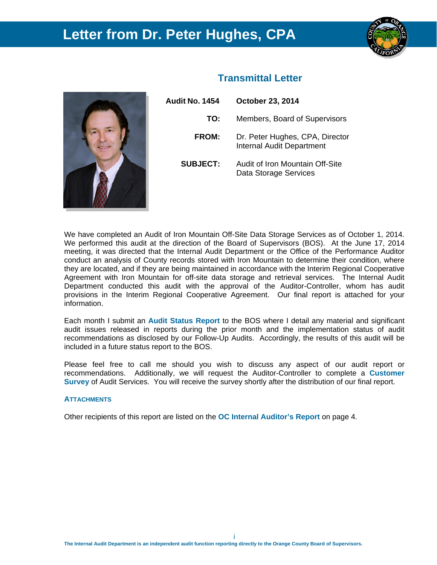# **Letter from Dr. Peter Hughes, CPA**



| <b>Audit No. 1454</b> | <b>October 23, 2014</b>                                             |  |  |  |  |
|-----------------------|---------------------------------------------------------------------|--|--|--|--|
| TO:                   | Members, Board of Supervisors                                       |  |  |  |  |
| <b>FROM:</b>          | Dr. Peter Hughes, CPA, Director<br><b>Internal Audit Department</b> |  |  |  |  |
| <b>SUBJECT:</b>       | Audit of Iron Mountain Off-Site<br>Data Storage Services            |  |  |  |  |

 **Transmittal Letter** 

We have completed an Audit of Iron Mountain Off-Site Data Storage Services as of October 1, 2014. We performed this audit at the direction of the Board of Supervisors (BOS). At the June 17, 2014 meeting, it was directed that the Internal Audit Department or the Office of the Performance Auditor conduct an analysis of County records stored with Iron Mountain to determine their condition, where they are located, and if they are being maintained in accordance with the Interim Regional Cooperative Agreement with Iron Mountain for off-site data storage and retrieval services. The Internal Audit Department conducted this audit with the approval of the Auditor-Controller, whom has audit provisions in the Interim Regional Cooperative Agreement. Our final report is attached for your information.

Each month I submit an **Audit Status Report** to the BOS where I detail any material and significant audit issues released in reports during the prior month and the implementation status of audit recommendations as disclosed by our Follow-Up Audits. Accordingly, the results of this audit will be included in a future status report to the BOS.

Please feel free to call me should you wish to discuss any aspect of our audit report or recommendations. Additionally, we will request the Auditor-Controller to complete a **Customer Survey** of Audit Services. You will receive the survey shortly after the distribution of our final report.

## **ATTACHMENTS**

Other recipients of this report are listed on the **OC Internal Auditor's Report** on page 4.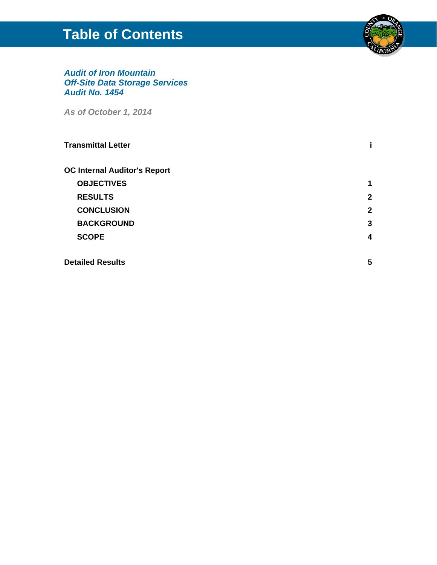# **Table of Contents**



# *Audit of Iron Mountain Off-Site Data Storage Services Audit No. 1454*

*As of October 1, 2014* 

| <b>Transmittal Letter</b>           |   |
|-------------------------------------|---|
| <b>OC Internal Auditor's Report</b> |   |
| <b>OBJECTIVES</b>                   | 1 |
| <b>RESULTS</b>                      | 2 |
| <b>CONCLUSION</b>                   | 2 |
| <b>BACKGROUND</b>                   | 3 |
| <b>SCOPE</b>                        | 4 |
| <b>Detailed Results</b>             | 5 |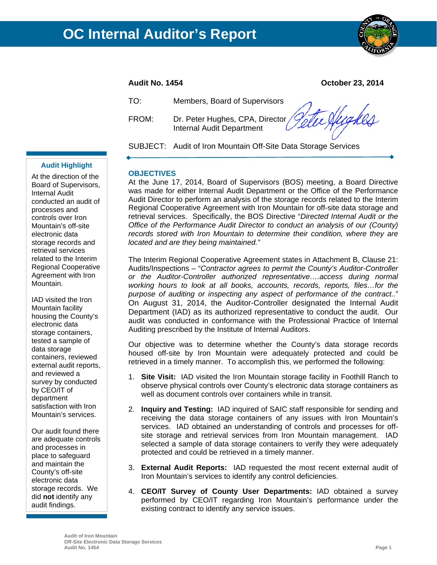

**Audit No. 1454 October 23, 2014** 

| TO:   | Members, Board of Supervisors                        |
|-------|------------------------------------------------------|
| FROM: | Dr. Peter Hughes, CPA, Director <i>Pette Aug KRA</i> |

SUBJECT: Audit of Iron Mountain Off-Site Data Storage Services

# **Audit Highlight**

At the direction of the Board of Supervisors, Internal Audit conducted an audit of processes and controls over Iron Mountain's off-site electronic data storage records and retrieval services related to the Interim Regional Cooperative Agreement with Iron Mountain.

IAD visited the Iron Mountain facility housing the County's electronic data storage containers, tested a sample of data storage containers, reviewed external audit reports, and reviewed a survey by conducted by CEO/IT of department satisfaction with Iron Mountain's services.

Our audit found there are adequate controls and processes in place to safeguard and maintain the County's off-site electronic data storage records. We did **not** identify any audit findings.

# **OBJECTIVES**

At the June 17, 2014, Board of Supervisors (BOS) meeting, a Board Directive was made for either Internal Audit Department or the Office of the Performance Audit Director to perform an analysis of the storage records related to the Interim Regional Cooperative Agreement with Iron Mountain for off-site data storage and retrieval services. Specifically, the BOS Directive "*Directed Internal Audit or the Office of the Performance Audit Director to conduct an analysis of our (County) records stored with Iron Mountain to determine their condition, where they are located and are they being maintained."* 

The Interim Regional Cooperative Agreement states in Attachment B, Clause 21: Audits/Inspections – "*Contractor agrees to permit the County's Auditor-Controller or the Auditor-Controller authorized representative….access during normal working hours to look at all books, accounts, records, reports, files…for the purpose of auditing or inspecting any aspect of performance of the contract..*" On August 31, 2014, the Auditor-Controller designated the Internal Audit Department (IAD) as its authorized representative to conduct the audit. Our audit was conducted in conformance with the Professional Practice of Internal Auditing prescribed by the Institute of Internal Auditors.

Our objective was to determine whether the County's data storage records housed off-site by Iron Mountain were adequately protected and could be retrieved in a timely manner. To accomplish this, we performed the following:

- 1. **Site Visit:** IAD visited the Iron Mountain storage facility in Foothill Ranch to observe physical controls over County's electronic data storage containers as well as document controls over containers while in transit.
- 2. **Inquiry and Testing:** IAD inquired of SAIC staff responsible for sending and receiving the data storage containers of any issues with Iron Mountain's services. IAD obtained an understanding of controls and processes for offsite storage and retrieval services from Iron Mountain management. IAD selected a sample of data storage containers to verify they were adequately protected and could be retrieved in a timely manner.
- 3. **External Audit Reports:** IAD requested the most recent external audit of Iron Mountain's services to identify any control deficiencies.
- 4. **CEO/IT Survey of County User Departments:** IAD obtained a survey performed by CEO/IT regarding Iron Mountain's performance under the existing contract to identify any service issues.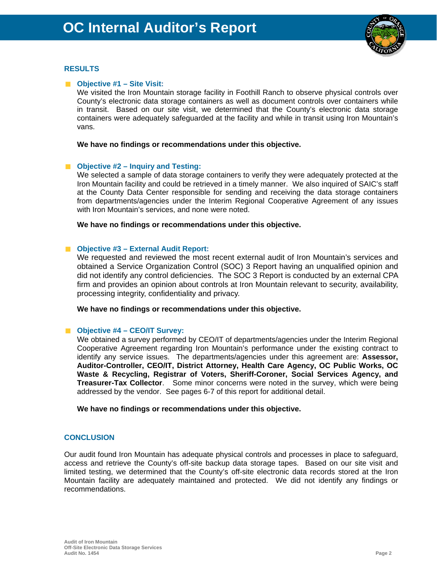

# **RESULTS**

# ■ Objective #1 – Site Visit:

We visited the Iron Mountain storage facility in Foothill Ranch to observe physical controls over County's electronic data storage containers as well as document controls over containers while in transit. Based on our site visit, we determined that the County's electronic data storage containers were adequately safeguarded at the facility and while in transit using Iron Mountain's vans.

## **We have no findings or recommendations under this objective.**

# **Objective #2 – Inquiry and Testing:**

We selected a sample of data storage containers to verify they were adequately protected at the Iron Mountain facility and could be retrieved in a timely manner. We also inquired of SAIC's staff at the County Data Center responsible for sending and receiving the data storage containers from departments/agencies under the Interim Regional Cooperative Agreement of any issues with Iron Mountain's services, and none were noted.

**We have no findings or recommendations under this objective.** 

# **Objective #3 – External Audit Report:**

We requested and reviewed the most recent external audit of Iron Mountain's services and obtained a Service Organization Control (SOC) 3 Report having an unqualified opinion and did not identify any control deficiencies. The SOC 3 Report is conducted by an external CPA firm and provides an opinion about controls at Iron Mountain relevant to security, availability, processing integrity, confidentiality and privacy.

**We have no findings or recommendations under this objective.** 

## ■ Objective #4 – CEO/IT Survey:

We obtained a survey performed by CEO/IT of departments/agencies under the Interim Regional Cooperative Agreement regarding Iron Mountain's performance under the existing contract to identify any service issues. The departments/agencies under this agreement are: **Assessor, Auditor-Controller, CEO/IT, District Attorney, Health Care Agency, OC Public Works, OC Waste & Recycling, Registrar of Voters, Sheriff-Coroner, Social Services Agency, and Treasurer-Tax Collector**. Some minor concerns were noted in the survey, which were being addressed by the vendor. See pages 6-7 of this report for additional detail.

**We have no findings or recommendations under this objective.** 

# **CONCLUSION**

Our audit found Iron Mountain has adequate physical controls and processes in place to safeguard, access and retrieve the County's off-site backup data storage tapes.Based on our site visit and limited testing, we determined that the County's off-site electronic data records stored at the Iron Mountain facility are adequately maintained and protected. We did not identify any findings or recommendations.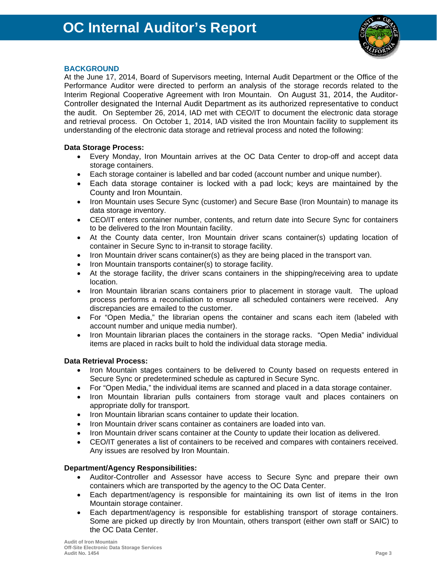

# **BACKGROUND**

At the June 17, 2014, Board of Supervisors meeting, Internal Audit Department or the Office of the Performance Auditor were directed to perform an analysis of the storage records related to the Interim Regional Cooperative Agreement with Iron Mountain. On August 31, 2014, the Auditor-Controller designated the Internal Audit Department as its authorized representative to conduct the audit. On September 26, 2014, IAD met with CEO/IT to document the electronic data storage and retrieval process. On October 1, 2014, IAD visited the Iron Mountain facility to supplement its understanding of the electronic data storage and retrieval process and noted the following:

# **Data Storage Process:**

- Every Monday, Iron Mountain arrives at the OC Data Center to drop-off and accept data storage containers.
- Each storage container is labelled and bar coded (account number and unique number).
- Each data storage container is locked with a pad lock; keys are maintained by the County and Iron Mountain.
- Iron Mountain uses Secure Sync (customer) and Secure Base (Iron Mountain) to manage its data storage inventory.
- CEO/IT enters container number, contents, and return date into Secure Sync for containers to be delivered to the Iron Mountain facility.
- At the County data center, Iron Mountain driver scans container(s) updating location of container in Secure Sync to in-transit to storage facility.
- Iron Mountain driver scans container(s) as they are being placed in the transport van.
- Iron Mountain transports container(s) to storage facility.
- At the storage facility, the driver scans containers in the shipping/receiving area to update location.
- Iron Mountain librarian scans containers prior to placement in storage vault. The upload process performs a reconciliation to ensure all scheduled containers were received. Any discrepancies are emailed to the customer.
- For "Open Media," the librarian opens the container and scans each item (labeled with account number and unique media number).
- Iron Mountain librarian places the containers in the storage racks. "Open Media" individual items are placed in racks built to hold the individual data storage media.

# **Data Retrieval Process:**

- Iron Mountain stages containers to be delivered to County based on requests entered in Secure Sync or predetermined schedule as captured in Secure Sync.
- For "Open Media," the individual items are scanned and placed in a data storage container.
- Iron Mountain librarian pulls containers from storage vault and places containers on appropriate dolly for transport.
- Iron Mountain librarian scans container to update their location.
- Iron Mountain driver scans container as containers are loaded into van.
- Iron Mountain driver scans container at the County to update their location as delivered.
- CEO/IT generates a list of containers to be received and compares with containers received. Any issues are resolved by Iron Mountain.

# **Department/Agency Responsibilities:**

- Auditor-Controller and Assessor have access to Secure Sync and prepare their own containers which are transported by the agency to the OC Data Center.
- Each department/agency is responsible for maintaining its own list of items in the Iron Mountain storage container.
- Each department/agency is responsible for establishing transport of storage containers. Some are picked up directly by Iron Mountain, others transport (either own staff or SAIC) to the OC Data Center.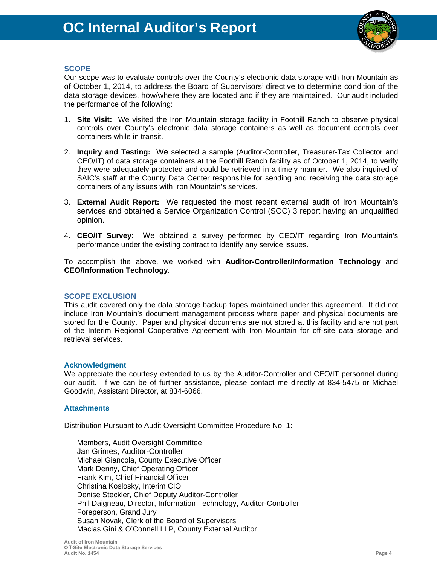

# **SCOPE**

Our scope was to evaluate controls over the County's electronic data storage with Iron Mountain as of October 1, 2014, to address the Board of Supervisors' directive to determine condition of the data storage devices, how/where they are located and if they are maintained. Our audit included the performance of the following:

- 1. **Site Visit:** We visited the Iron Mountain storage facility in Foothill Ranch to observe physical controls over County's electronic data storage containers as well as document controls over containers while in transit.
- 2. **Inquiry and Testing:** We selected a sample (Auditor-Controller, Treasurer-Tax Collector and CEO/IT) of data storage containers at the Foothill Ranch facility as of October 1, 2014, to verify they were adequately protected and could be retrieved in a timely manner. We also inquired of SAIC's staff at the County Data Center responsible for sending and receiving the data storage containers of any issues with Iron Mountain's services.
- 3. **External Audit Report:** We requested the most recent external audit of Iron Mountain's services and obtained a Service Organization Control (SOC) 3 report having an unqualified opinion.
- 4. **CEO/IT Survey:** We obtained a survey performed by CEO/IT regarding Iron Mountain's performance under the existing contract to identify any service issues.

To accomplish the above, we worked with **Auditor-Controller/Information Technology** and **CEO/Information Technology**.

## **SCOPE EXCLUSION**

This audit covered only the data storage backup tapes maintained under this agreement. It did not include Iron Mountain's document management process where paper and physical documents are stored for the County. Paper and physical documents are not stored at this facility and are not part of the Interim Regional Cooperative Agreement with Iron Mountain for off-site data storage and retrieval services.

## **Acknowledgment**

We appreciate the courtesy extended to us by the Auditor-Controller and CEO/IT personnel during our audit. If we can be of further assistance, please contact me directly at 834-5475 or Michael Goodwin, Assistant Director, at 834-6066.

# **Attachments**

Distribution Pursuant to Audit Oversight Committee Procedure No. 1:

Members, Audit Oversight Committee Jan Grimes, Auditor-Controller Michael Giancola, County Executive Officer Mark Denny, Chief Operating Officer Frank Kim, Chief Financial Officer Christina Koslosky, Interim CIO Denise Steckler, Chief Deputy Auditor-Controller Phil Daigneau, Director, Information Technology, Auditor-Controller Foreperson, Grand Jury Susan Novak, Clerk of the Board of Supervisors Macias Gini & O'Connell LLP, County External Auditor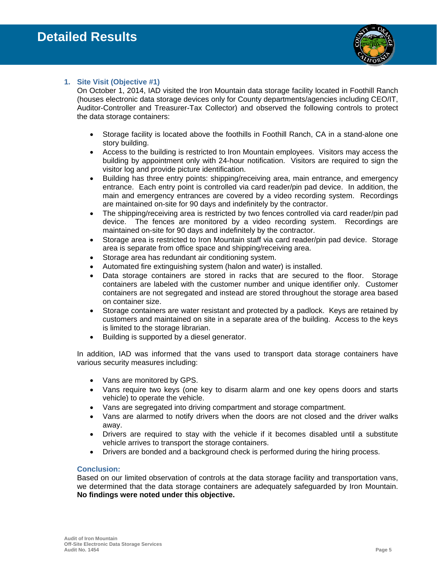

# **1. Site Visit (Objective #1)**

On October 1, 2014, IAD visited the Iron Mountain data storage facility located in Foothill Ranch (houses electronic data storage devices only for County departments/agencies including CEO/IT, Auditor-Controller and Treasurer-Tax Collector) and observed the following controls to protect the data storage containers:

- Storage facility is located above the foothills in Foothill Ranch, CA in a stand-alone one story building.
- Access to the building is restricted to Iron Mountain employees. Visitors may access the building by appointment only with 24-hour notification. Visitors are required to sign the visitor log and provide picture identification.
- Building has three entry points: shipping/receiving area, main entrance, and emergency entrance. Each entry point is controlled via card reader/pin pad device. In addition, the main and emergency entrances are covered by a video recording system. Recordings are maintained on-site for 90 days and indefinitely by the contractor.
- The shipping/receiving area is restricted by two fences controlled via card reader/pin pad device. The fences are monitored by a video recording system. Recordings are maintained on-site for 90 days and indefinitely by the contractor.
- Storage area is restricted to Iron Mountain staff via card reader/pin pad device. Storage area is separate from office space and shipping/receiving area.
- Storage area has redundant air conditioning system.
- Automated fire extinguishing system (halon and water) is installed.
- Data storage containers are stored in racks that are secured to the floor. Storage containers are labeled with the customer number and unique identifier only. Customer containers are not segregated and instead are stored throughout the storage area based on container size.
- Storage containers are water resistant and protected by a padlock. Keys are retained by customers and maintained on site in a separate area of the building. Access to the keys is limited to the storage librarian.
- Building is supported by a diesel generator.

In addition, IAD was informed that the vans used to transport data storage containers have various security measures including:

- Vans are monitored by GPS.
- Vans require two keys (one key to disarm alarm and one key opens doors and starts vehicle) to operate the vehicle.
- Vans are segregated into driving compartment and storage compartment.
- Vans are alarmed to notify drivers when the doors are not closed and the driver walks away.
- Drivers are required to stay with the vehicle if it becomes disabled until a substitute vehicle arrives to transport the storage containers.
- Drivers are bonded and a background check is performed during the hiring process.

# **Conclusion:**

Based on our limited observation of controls at the data storage facility and transportation vans, we determined that the data storage containers are adequately safeguarded by Iron Mountain. **No findings were noted under this objective.**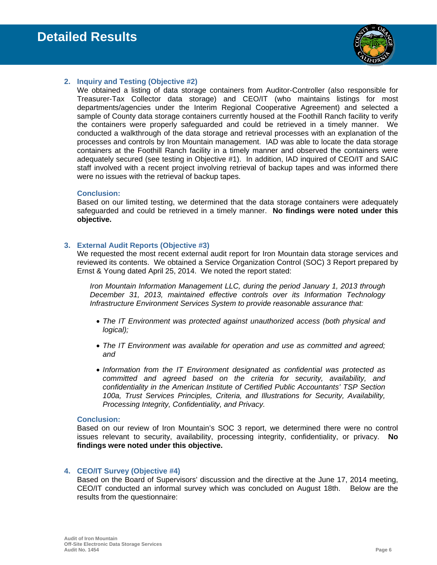

# **2. Inquiry and Testing (Objective #2)**

We obtained a listing of data storage containers from Auditor-Controller (also responsible for Treasurer-Tax Collector data storage) and CEO/IT (who maintains listings for most departments/agencies under the Interim Regional Cooperative Agreement) and selected a sample of County data storage containers currently housed at the Foothill Ranch facility to verify the containers were properly safeguarded and could be retrieved in a timely manner. We conducted a walkthrough of the data storage and retrieval processes with an explanation of the processes and controls by Iron Mountain management. IAD was able to locate the data storage containers at the Foothill Ranch facility in a timely manner and observed the containers were adequately secured (see testing in Objective #1). In addition, IAD inquired of CEO/IT and SAIC staff involved with a recent project involving retrieval of backup tapes and was informed there were no issues with the retrieval of backup tapes.

## **Conclusion:**

Based on our limited testing, we determined that the data storage containers were adequately safeguarded and could be retrieved in a timely manner. **No findings were noted under this objective.** 

# **3. External Audit Reports (Objective #3)**

We requested the most recent external audit report for Iron Mountain data storage services and reviewed its contents. We obtained a Service Organization Control (SOC) 3 Report prepared by Ernst & Young dated April 25, 2014. We noted the report stated:

*Iron Mountain Information Management LLC, during the period January 1, 2013 through December 31, 2013, maintained effective controls over its Information Technology Infrastructure Environment Services System to provide reasonable assurance that:* 

- *The IT Environment was protected against unauthorized access (both physical and logical);*
- *The IT Environment was available for operation and use as committed and agreed; and*
- *Information from the IT Environment designated as confidential was protected as committed and agreed based on the criteria for security, availability, and confidentiality in the American Institute of Certified Public Accountants' TSP Section 100a, Trust Services Principles, Criteria, and Illustrations for Security, Availability, Processing Integrity, Confidentiality, and Privacy.*

## **Conclusion:**

Based on our review of Iron Mountain's SOC 3 report, we determined there were no control issues relevant to security, availability, processing integrity, confidentiality, or privacy. **No findings were noted under this objective.** 

## **4. CEO/IT Survey (Objective #4)**

Based on the Board of Supervisors' discussion and the directive at the June 17, 2014 meeting, CEO/IT conducted an informal survey which was concluded on August 18th. Below are the results from the questionnaire: